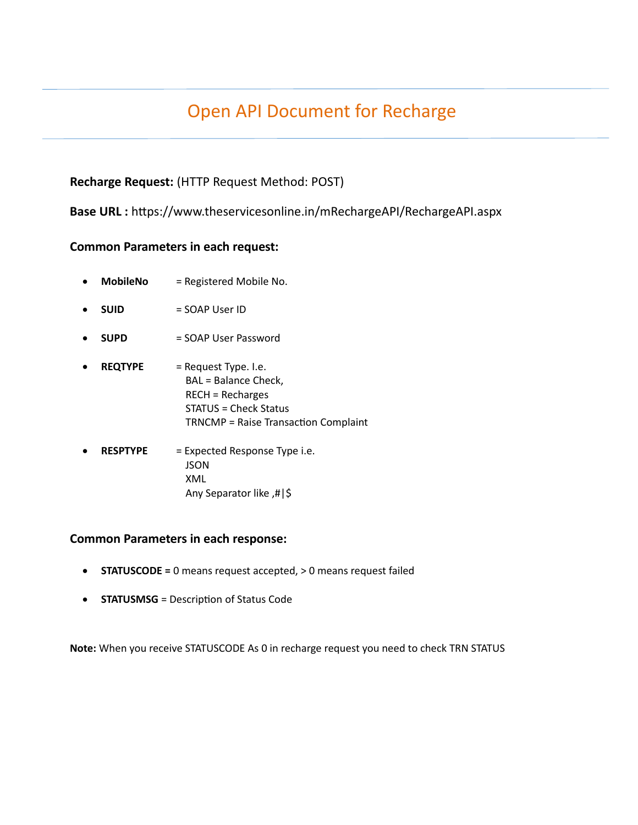# Open API Document for Recharge

### **Recharge Request:** (HTTP Request Method: POST)

 **Base URL :** https://www.theservicesonline.in/mRechargeAPI/RechargeAPI.aspx

#### **Common Parameters in each request:**

- **MobileNo** = Registered Mobile No.
- **SUID** = SOAP User ID
- **SUPD** = SOAP User Password
- **REQTYPE** = Request Type. I.e. BAL = Balance Check, RECH = Recharges STATUS = Check Status TRNCMP = Raise Transaction Complaint
- **RESPTYPE** = Expected Response Type i.e. **JSON** XML Any Separator like ,#|\$

#### **Common Parameters in each response:**

- **STATUSCODE =** 0 means request accepted, > 0 means request failed
- **STATUSMSG** = Description of Status Code

**Note:** When you receive STATUSCODE As 0 in recharge request you need to check TRN STATUS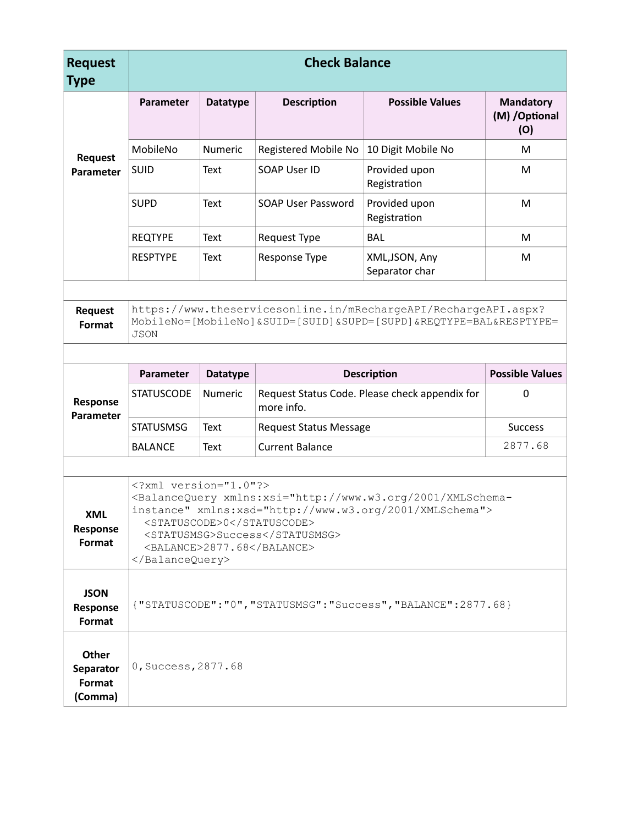| <b>Request</b><br><b>Type</b>           | <b>Check Balance</b>                                                                                                                                                                                                                                                   |                 |                                                              |                                  |                                    |  |
|-----------------------------------------|------------------------------------------------------------------------------------------------------------------------------------------------------------------------------------------------------------------------------------------------------------------------|-----------------|--------------------------------------------------------------|----------------------------------|------------------------------------|--|
|                                         | Parameter                                                                                                                                                                                                                                                              | <b>Datatype</b> | <b>Description</b>                                           | <b>Possible Values</b>           | Mandatory<br>(M) / Optional<br>(O) |  |
| <b>Request</b>                          | MobileNo                                                                                                                                                                                                                                                               | <b>Numeric</b>  | Registered Mobile No                                         | 10 Digit Mobile No               | M                                  |  |
| Parameter                               | <b>SUID</b>                                                                                                                                                                                                                                                            | Text            | SOAP User ID                                                 | Provided upon<br>Registration    | M                                  |  |
|                                         | <b>SUPD</b>                                                                                                                                                                                                                                                            | Text            | <b>SOAP User Password</b>                                    | Provided upon<br>Registration    | M                                  |  |
|                                         | <b>REQTYPE</b>                                                                                                                                                                                                                                                         | Text            | Request Type                                                 | <b>BAL</b>                       | M                                  |  |
|                                         | <b>RESPTYPE</b>                                                                                                                                                                                                                                                        | Text            | Response Type                                                | XML, JSON, Any<br>Separator char | M                                  |  |
| <b>Request</b><br>Format                | https://www.theservicesonline.in/mRechargeAPI/RechargeAPI.aspx?<br>MobileNo=[MobileNo]&SUID=[SUID]&SUPD=[SUPD]&REQTYPE=BAL&RESPTYPE=<br><b>JSON</b>                                                                                                                    |                 |                                                              |                                  |                                    |  |
|                                         |                                                                                                                                                                                                                                                                        |                 |                                                              |                                  |                                    |  |
|                                         | Parameter                                                                                                                                                                                                                                                              | <b>Datatype</b> | <b>Description</b>                                           |                                  | <b>Possible Values</b>             |  |
| Response<br>Parameter                   | <b>STATUSCODE</b>                                                                                                                                                                                                                                                      | Numeric         | Request Status Code. Please check appendix for<br>more info. |                                  | $\pmb{0}$                          |  |
|                                         | <b>STATUSMSG</b>                                                                                                                                                                                                                                                       | Text            | <b>Request Status Message</b>                                |                                  | <b>Success</b>                     |  |
|                                         | <b>BALANCE</b>                                                                                                                                                                                                                                                         | Text            | <b>Current Balance</b>                                       | 2877.68                          |                                    |  |
|                                         |                                                                                                                                                                                                                                                                        |                 |                                                              |                                  |                                    |  |
| <b>XML</b><br>Response<br>Format        | xml version="1.0"?<br><balancequery xmlns:xsd="http://www.w3.org/2001/XMLSchema" xmlns:xsi="http://www.w3.org/2001/XMLSchema-&lt;br&gt;instance"><br/><statuscode>0</statuscode><br/><statusmsg>Success</statusmsg><br/><balance>2877.68</balance><br/></balancequery> |                 |                                                              |                                  |                                    |  |
| <b>JSON</b><br>Response<br>Format       | {"STATUSCODE":"0", "STATUSMSG": "Success", "BALANCE": 2877.68}                                                                                                                                                                                                         |                 |                                                              |                                  |                                    |  |
| Other<br>Separator<br>Format<br>(Comma) | 0, Success, 2877.68                                                                                                                                                                                                                                                    |                 |                                                              |                                  |                                    |  |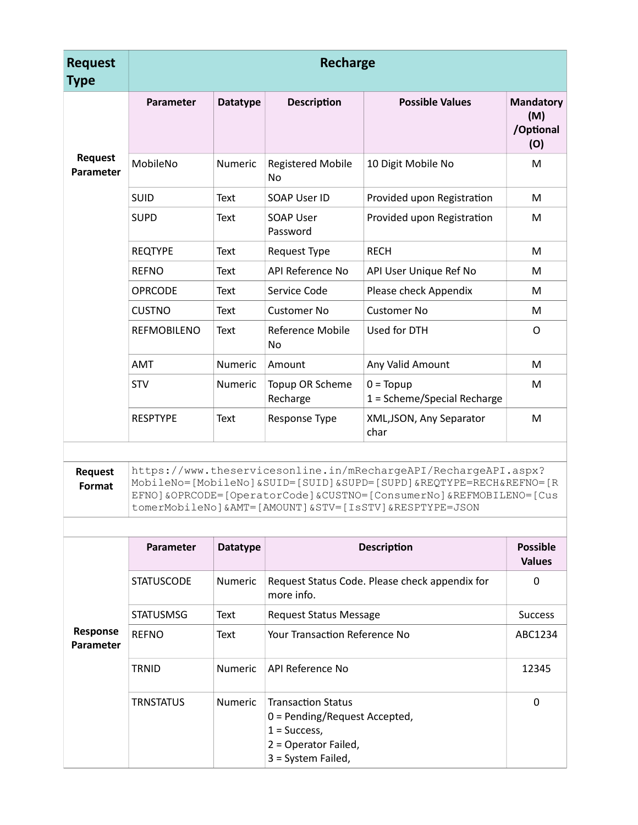| <b>Request</b><br><b>Type</b>      | <b>Recharge</b>    |                 |                                       |                                            |                                             |
|------------------------------------|--------------------|-----------------|---------------------------------------|--------------------------------------------|---------------------------------------------|
|                                    | Parameter          | <b>Datatype</b> | <b>Description</b>                    | <b>Possible Values</b>                     | <b>Mandatory</b><br>(M)<br>/Optional<br>(O) |
| <b>Request</b><br><b>Parameter</b> | MobileNo           | Numeric         | <b>Registered Mobile</b><br><b>No</b> | 10 Digit Mobile No                         | М                                           |
|                                    | SUID               | Text            | SOAP User ID                          | Provided upon Registration                 | M                                           |
|                                    | <b>SUPD</b>        | Text            | <b>SOAP User</b><br>Password          | Provided upon Registration                 | м                                           |
|                                    | <b>REQTYPE</b>     | Text            | <b>Request Type</b>                   | <b>RECH</b>                                | M                                           |
|                                    | <b>REFNO</b>       | Text            | API Reference No                      | API User Unique Ref No                     | м                                           |
|                                    | <b>OPRCODE</b>     | Text            | Service Code                          | Please check Appendix                      | М                                           |
|                                    | <b>CUSTNO</b>      | Text            | <b>Customer No</b>                    | <b>Customer No</b>                         | М                                           |
|                                    | <b>REFMOBILENO</b> | Text            | Reference Mobile<br>No                | Used for DTH                               | O                                           |
|                                    | <b>AMT</b>         | <b>Numeric</b>  | Amount                                | Any Valid Amount                           | M                                           |
|                                    | <b>STV</b>         | Numeric         | Topup OR Scheme<br>Recharge           | $0 = Topup$<br>1 = Scheme/Special Recharge | M                                           |
|                                    | <b>RESPTYPE</b>    | Text            | Response Type                         | XML, JSON, Any Separator<br>char           | M                                           |

**Request Format** https://www.theservicesonline.in/mRechargeAPI/RechargeAPI.aspx? MobileNo=[MobileNo]&SUID=[SUID]&SUPD=[SUPD]&REQTYPE=RECH&REFNO=[R EFNO]&OPRCODE=[OperatorCode]&CUSTNO=[ConsumerNo]&REFMOBILENO=[Cus tomerMobileNo]&AMT=[AMOUNT]&STV=[IsSTV]&RESPTYPE=JSON

|                       | Parameter         | <b>Datatype</b> | <b>Description</b>                                                                                                           | <b>Possible</b><br><b>Values</b> |
|-----------------------|-------------------|-----------------|------------------------------------------------------------------------------------------------------------------------------|----------------------------------|
|                       | <b>STATUSCODE</b> | <b>Numeric</b>  | Request Status Code. Please check appendix for<br>more info.                                                                 | 0                                |
|                       | <b>STATUSMSG</b>  | Text            | <b>Request Status Message</b>                                                                                                | <b>Success</b>                   |
| Response<br>Parameter | <b>REFNO</b>      | Text            | Your Transaction Reference No                                                                                                | ABC1234                          |
|                       | <b>TRNID</b>      | <b>Numeric</b>  | API Reference No                                                                                                             | 12345                            |
|                       | <b>TRNSTATUS</b>  | <b>Numeric</b>  | <b>Transaction Status</b><br>$0 =$ Pending/Request Accepted,<br>$1 = Success,$<br>2 = Operator Failed,<br>3 = System Failed, | 0                                |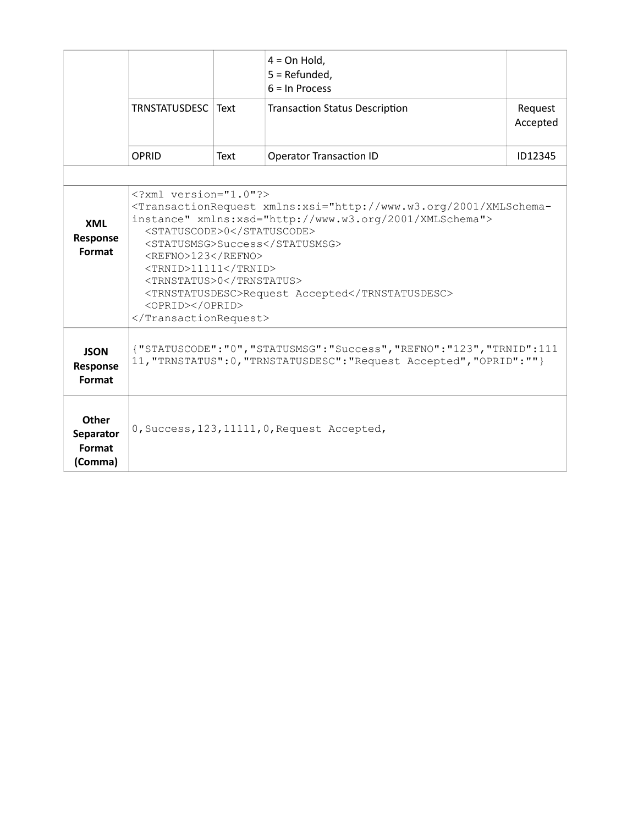|                                         | TRNSTATUSDESC   Text                                                                                                                                                                                                                                                                                                                                                                                                         |      | $4 = On$ Hold,<br>5 = Refunded,<br>$6 = \ln$ Process<br><b>Transaction Status Description</b> | Request<br>Accepted |  |
|-----------------------------------------|------------------------------------------------------------------------------------------------------------------------------------------------------------------------------------------------------------------------------------------------------------------------------------------------------------------------------------------------------------------------------------------------------------------------------|------|-----------------------------------------------------------------------------------------------|---------------------|--|
|                                         | <b>OPRID</b>                                                                                                                                                                                                                                                                                                                                                                                                                 | Text | <b>Operator Transaction ID</b>                                                                | ID12345             |  |
| <b>XML</b><br>Response<br>Format        | $\langle ? \text{xml}$ version="1.0"?><br><transactionrequest xmlns:xsd="http://www.w3.org/2001/XMLSchema" xmlns:xsi="http://www.w3.org/2001/XMLSchema-&lt;br&gt;instance"><br/><statuscode>0</statuscode><br/><statusmsg>Success</statusmsg><br/><refno>123</refno><br/><trnid>11111</trnid><br/><trnstatus>0</trnstatus><br/><trnstatusdesc>Request Accepted</trnstatusdesc><br/><oprid></oprid><br/></transactionrequest> |      |                                                                                               |                     |  |
| <b>JSON</b><br>Response<br>Format       | {"STATUSCODE":"0", "STATUSMSG": "Success", "REFNO": "123", "TRNID":111<br>11, "TRNSTATUS": 0, "TRNSTATUSDESC": "Request Accepted", "OPRID": ""}                                                                                                                                                                                                                                                                              |      |                                                                                               |                     |  |
| Other<br>Separator<br>Format<br>(Comma) |                                                                                                                                                                                                                                                                                                                                                                                                                              |      | 0, Success, 123, 11111, 0, Request Accepted,                                                  |                     |  |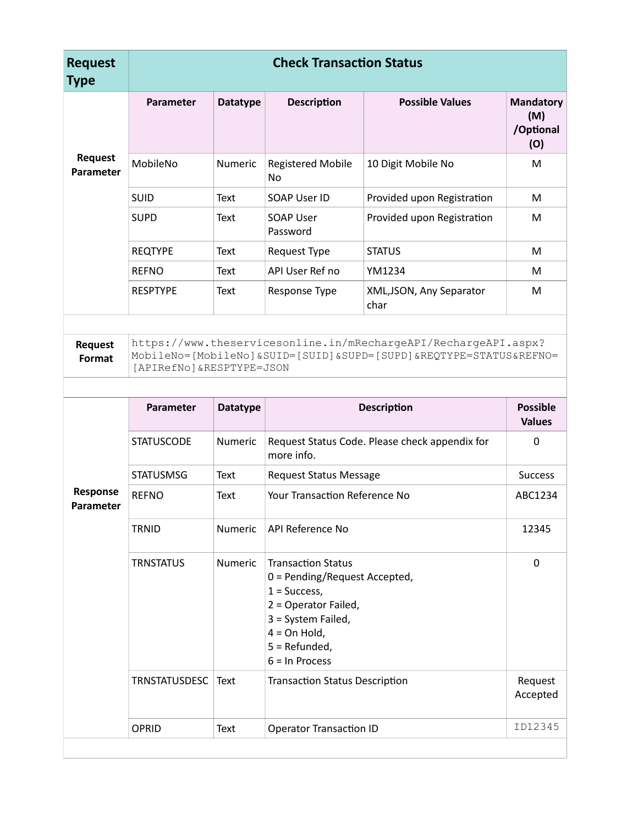| <b>Request</b><br><b>Type</b> | <b>Check Transaction Status</b> |                 |                                                                                                                                                                                   |                                                                                                                                      |                                             |
|-------------------------------|---------------------------------|-----------------|-----------------------------------------------------------------------------------------------------------------------------------------------------------------------------------|--------------------------------------------------------------------------------------------------------------------------------------|---------------------------------------------|
|                               | Parameter                       | <b>Datatype</b> | <b>Description</b>                                                                                                                                                                | <b>Possible Values</b>                                                                                                               | <b>Mandatory</b><br>(M)<br>/Optional<br>(O) |
| <b>Request</b><br>Parameter   | MobileNo                        | Numeric         | <b>Registered Mobile</b><br>No                                                                                                                                                    | 10 Digit Mobile No                                                                                                                   | M                                           |
|                               | SUID                            | Text            | SOAP User ID                                                                                                                                                                      | Provided upon Registration                                                                                                           | M                                           |
|                               | <b>SUPD</b>                     | Text            | <b>SOAP User</b><br>Password                                                                                                                                                      | Provided upon Registration                                                                                                           | M                                           |
|                               | <b>REQTYPE</b>                  | <b>Text</b>     | Request Type                                                                                                                                                                      | <b>STATUS</b>                                                                                                                        | M                                           |
|                               | <b>REFNO</b>                    | Text            | API User Ref no                                                                                                                                                                   | YM1234                                                                                                                               | M                                           |
|                               | <b>RESPTYPE</b>                 | <b>Text</b>     | Response Type                                                                                                                                                                     | XML, JSON, Any Separator<br>char                                                                                                     | M                                           |
| Request<br>Format             | [APIRefNo] &RESPTYPE=JSON       |                 |                                                                                                                                                                                   | https://www.theservicesonline.in/mRechargeAPI/RechargeAPI.aspx?<br>MobileNo=[MobileNo]&SUID=[SUID]&SUPD=[SUPD]&REQTYPE=STATUS&REFNO= |                                             |
|                               | Parameter                       | <b>Datatype</b> |                                                                                                                                                                                   | <b>Description</b>                                                                                                                   | <b>Possible</b><br><b>Values</b>            |
|                               | <b>STATUSCODE</b>               | Numeric         | more info.                                                                                                                                                                        | Request Status Code. Please check appendix for                                                                                       | 0                                           |
|                               | <b>STATUSMSG</b>                | <b>Text</b>     | <b>Request Status Message</b>                                                                                                                                                     |                                                                                                                                      | <b>Success</b>                              |
| Response<br>Parameter         | <b>REFNO</b>                    | <b>Text</b>     | <b>Your Transaction Reference No</b>                                                                                                                                              |                                                                                                                                      | ABC1234                                     |
|                               | <b>TRNID</b>                    | Numeric         | API Reference No                                                                                                                                                                  |                                                                                                                                      | 12345                                       |
|                               | <b>TRNSTATUS</b>                | Numeric         | <b>Transaction Status</b><br>0 = Pending/Request Accepted,<br>$1 = Success,$<br>2 = Operator Failed,<br>3 = System Failed,<br>$4 = On$ Hold,<br>5 = Refunded,<br>$6 = In Process$ |                                                                                                                                      | 0                                           |
|                               | <b>TRNSTATUSDESC</b>            | Text            | <b>Transaction Status Description</b>                                                                                                                                             |                                                                                                                                      | Request<br>Accepted                         |
|                               | OPRID                           | <b>Text</b>     | <b>Operator Transaction ID</b>                                                                                                                                                    |                                                                                                                                      | ID12345                                     |
|                               |                                 |                 |                                                                                                                                                                                   |                                                                                                                                      |                                             |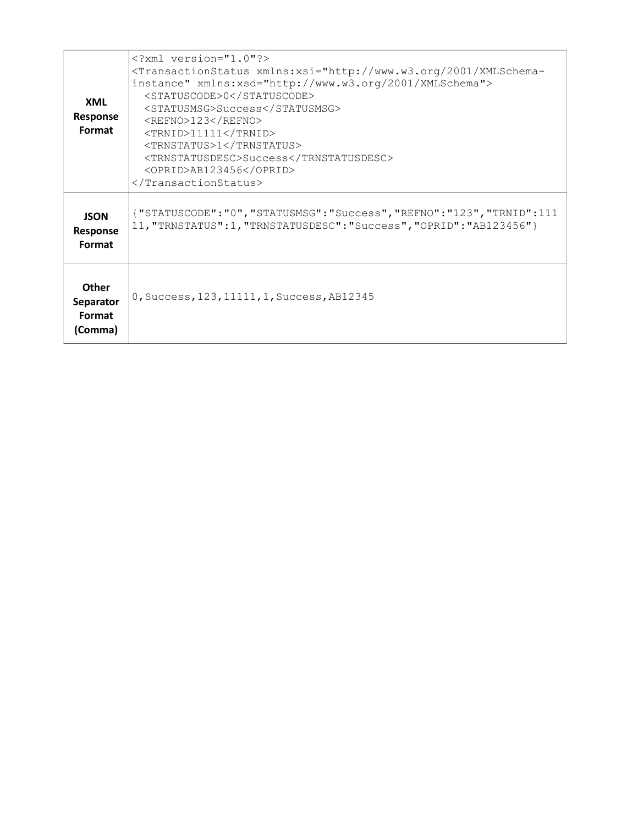| <b>XML</b><br>Response<br>Format               | $\text{0Success123<TRNID>111111SuccessAB123456$                                                                                          |
|------------------------------------------------|------------------------------------------------------------------------------------------------------------------------------------------|
| <b>JSON</b><br>Response<br>Format              | {"STATUSCODE":"0","STATUSMSG":"Success","REFNO":"123","TRNID":111<br>11, "TRNSTATUS":1, "TRNSTATUSDESC": "Success", "OPRID": "AB123456"} |
| <b>Other</b><br>Separator<br>Format<br>(Comma) | 0, Success, 123, 11111, 1, Success, AB12345                                                                                              |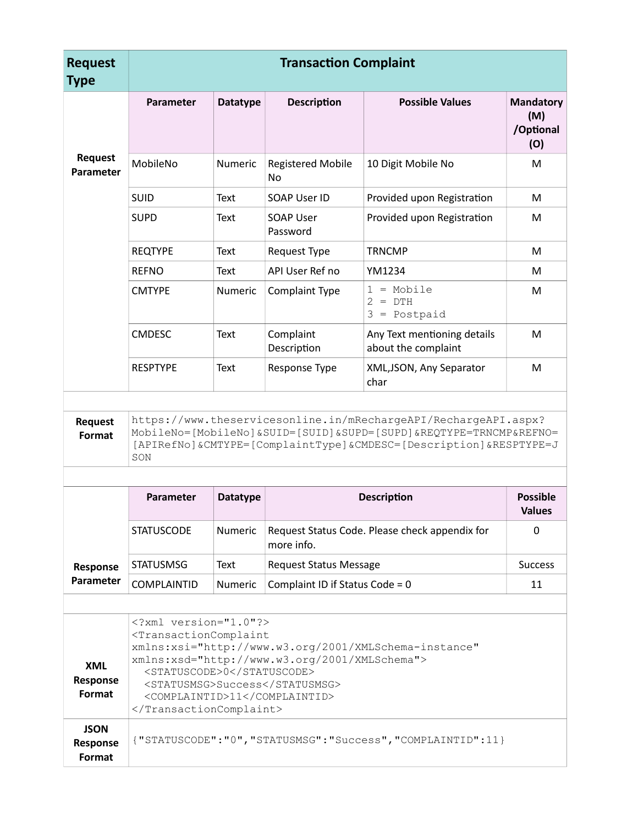| <b>Request</b><br><b>Type</b>    | <b>Transaction Complaint</b>                                                                                                                                                                                                                                                                 |                                                                                                                                                                                                                 |                                 |                                                    |                                             |  |  |
|----------------------------------|----------------------------------------------------------------------------------------------------------------------------------------------------------------------------------------------------------------------------------------------------------------------------------------------|-----------------------------------------------------------------------------------------------------------------------------------------------------------------------------------------------------------------|---------------------------------|----------------------------------------------------|---------------------------------------------|--|--|
|                                  | Parameter                                                                                                                                                                                                                                                                                    | <b>Datatype</b>                                                                                                                                                                                                 | <b>Description</b>              | <b>Possible Values</b>                             | <b>Mandatory</b><br>(M)<br>/Optional<br>(O) |  |  |
| <b>Request</b><br>Parameter      | MobileNo                                                                                                                                                                                                                                                                                     | Numeric                                                                                                                                                                                                         | <b>Registered Mobile</b><br>No  | 10 Digit Mobile No                                 | M                                           |  |  |
|                                  | <b>SUID</b>                                                                                                                                                                                                                                                                                  | Text                                                                                                                                                                                                            | <b>SOAP User ID</b>             | Provided upon Registration                         | M                                           |  |  |
|                                  | <b>SUPD</b>                                                                                                                                                                                                                                                                                  | Text                                                                                                                                                                                                            | <b>SOAP User</b><br>Password    | Provided upon Registration                         | M                                           |  |  |
|                                  | <b>REQTYPE</b>                                                                                                                                                                                                                                                                               | Text                                                                                                                                                                                                            | Request Type                    | <b>TRNCMP</b>                                      | M                                           |  |  |
|                                  | <b>REFNO</b>                                                                                                                                                                                                                                                                                 | Text                                                                                                                                                                                                            | API User Ref no                 | YM1234                                             | M                                           |  |  |
|                                  | <b>CMTYPE</b>                                                                                                                                                                                                                                                                                | Numeric                                                                                                                                                                                                         | Complaint Type                  | $1 = Mobile$<br>$2 = DTH$<br>$3 = Postpaid$        | M                                           |  |  |
|                                  | <b>CMDESC</b>                                                                                                                                                                                                                                                                                | Text                                                                                                                                                                                                            | Complaint<br>Description        | Any Text mentioning details<br>about the complaint | M                                           |  |  |
|                                  | <b>RESPTYPE</b>                                                                                                                                                                                                                                                                              | Text                                                                                                                                                                                                            | Response Type                   | XML, JSON, Any Separator<br>char                   | M                                           |  |  |
|                                  |                                                                                                                                                                                                                                                                                              |                                                                                                                                                                                                                 |                                 |                                                    |                                             |  |  |
| <b>Request</b><br>Format         | SON                                                                                                                                                                                                                                                                                          | https://www.theservicesonline.in/mRechargeAPI/RechargeAPI.aspx?<br>MobileNo=[MobileNo]&SUID=[SUID]&SUPD=[SUPD]&REQTYPE=TRNCMP&REFNO=<br>[APIRefNo] & CMTYPE=[ComplaintType] & CMDESC=[Description] & RESPTYPE=J |                                 |                                                    |                                             |  |  |
|                                  |                                                                                                                                                                                                                                                                                              |                                                                                                                                                                                                                 |                                 |                                                    |                                             |  |  |
|                                  | Parameter                                                                                                                                                                                                                                                                                    | <b>Datatype</b>                                                                                                                                                                                                 |                                 | <b>Description</b>                                 | <b>Possible</b><br><b>Values</b>            |  |  |
|                                  | <b>STATUSCODE</b>                                                                                                                                                                                                                                                                            | Numeric                                                                                                                                                                                                         | more info.                      | Request Status Code. Please check appendix for     | $\Omega$                                    |  |  |
| Response                         | <b>STATUSMSG</b>                                                                                                                                                                                                                                                                             | Text                                                                                                                                                                                                            | <b>Request Status Message</b>   |                                                    | <b>Success</b>                              |  |  |
| Parameter                        | <b>COMPLAINTID</b>                                                                                                                                                                                                                                                                           | <b>Numeric</b>                                                                                                                                                                                                  | Complaint ID if Status Code = 0 |                                                    | 11                                          |  |  |
|                                  |                                                                                                                                                                                                                                                                                              |                                                                                                                                                                                                                 |                                 |                                                    |                                             |  |  |
| <b>XML</b><br>Response<br>Format | xml version="1.0"?<br><transactioncomplaint<br>xmlns:xsi="http://www.w3.org/2001/XMLSchema-instance"<br/>xmlns:xsd="http://www.w3.org/2001/XMLSchema"&gt;<br/><statuscode>0</statuscode><br/><statusmsg>Success</statusmsg><br/><complaintid>11</complaintid><br/></transactioncomplaint<br> |                                                                                                                                                                                                                 |                                 |                                                    |                                             |  |  |
| <b>JSON</b><br><b>Response</b>   | {"STATUSCODE":"0", "STATUSMSG": "Success", "COMPLAINTID":11}                                                                                                                                                                                                                                 |                                                                                                                                                                                                                 |                                 |                                                    |                                             |  |  |

**Response Format**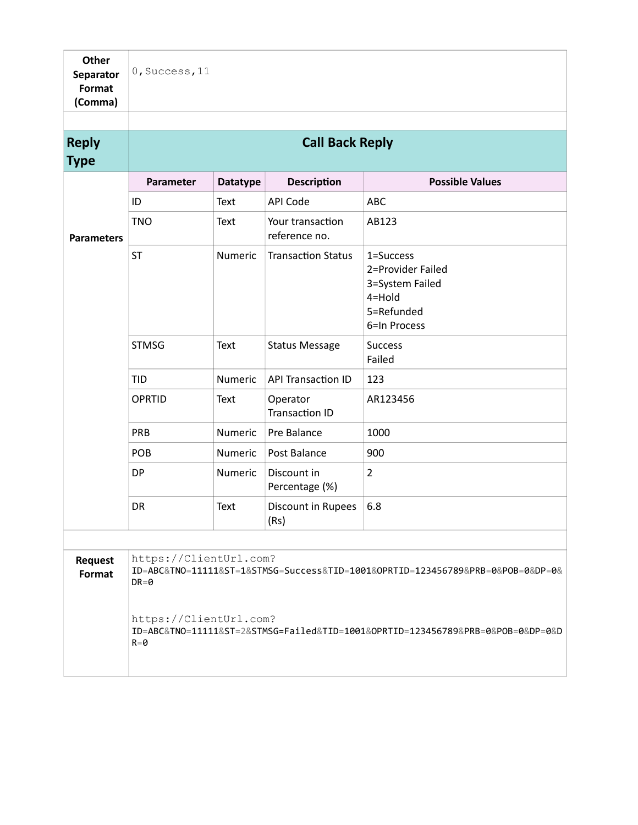| <b>Other</b><br>Separator<br>Format<br>(Comma) | 0, Success, 11                     |                 |                                   |                                                                                           |
|------------------------------------------------|------------------------------------|-----------------|-----------------------------------|-------------------------------------------------------------------------------------------|
| <b>Reply</b>                                   |                                    |                 | <b>Call Back Reply</b>            |                                                                                           |
| <b>Type</b>                                    |                                    |                 |                                   |                                                                                           |
|                                                | Parameter                          | <b>Datatype</b> | <b>Description</b>                | <b>Possible Values</b>                                                                    |
|                                                | ID                                 | Text            | <b>API Code</b>                   | ABC                                                                                       |
| <b>Parameters</b>                              | <b>TNO</b>                         | <b>Text</b>     | Your transaction<br>reference no. | AB123                                                                                     |
|                                                | <b>ST</b>                          | Numeric         | <b>Transaction Status</b>         | 1=Success<br>2=Provider Failed<br>3=System Failed<br>4=Hold<br>5=Refunded<br>6=In Process |
|                                                | <b>STMSG</b>                       | <b>Text</b>     | <b>Status Message</b>             | <b>Success</b><br>Failed                                                                  |
|                                                | <b>TID</b>                         | Numeric         | <b>API Transaction ID</b>         | 123                                                                                       |
|                                                | <b>OPRTID</b>                      | Text            | Operator<br><b>Transaction ID</b> | AR123456                                                                                  |
|                                                | PRB                                | Numeric         | Pre Balance                       | 1000                                                                                      |
|                                                | POB                                | Numeric         | Post Balance                      | 900                                                                                       |
|                                                | DP                                 | Numeric         | Discount in<br>Percentage (%)     | $\overline{2}$                                                                            |
|                                                | DR                                 | Text            | Discount in Rupees<br>(Rs)        | 6.8                                                                                       |
|                                                |                                    |                 |                                   |                                                                                           |
| <b>Request</b><br>Format                       | https://ClientUrl.com?<br>$DR = 0$ |                 |                                   | ID=ABC&TNO=11111&ST=1&STMSG=Success&TID=1001&OPRTID=123456789&PRB=0&POB=0&DP=0&           |
|                                                | https://ClientUrl.com?<br>$R = 0$  |                 |                                   | ID=ABC&TN0=11111&ST=2&STMSG=Failed&TID=1001&OPRTID=123456789&PRB=0&POB=0&DP=0&D           |